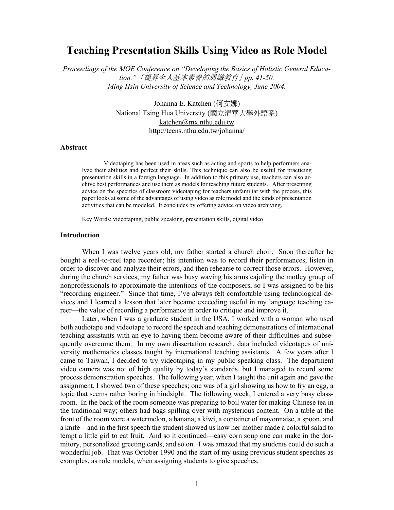# **Teaching Presentation Skills Using Video as Role Model**

*Proceedings of the MOE Conference on "Developing the Basics of Holistic General Education."*「提昇全人基本素養的通識教育」*pp. 41-50. Ming Hsin University of Science and Technology, June 2004.* 

> Johanna E. Katchen (柯安娜) National Tsing Hua University (國立清華大學外語系) katchen@mx.nthu.edu.tw http://teens.nthu.edu.tw/johanna/

#### **Abstract**

Videotaping has been used in areas such as acting and sports to help performers analyze their abilities and perfect their skills. This technique can also be useful for practicing presentation skills in a foreign language. In addition to this primary use, teachers can also archive best performances and use them as models for teaching future students. After presenting advice on the specifics of classroom videotaping for teachers unfamiliar with the process, this paper looks at some of the advantages of using video as role model and the kinds of presentation activities that can be modeled. It concludes by offering advice on video archiving.

Key Words: videotaping, public speaking, presentation skills, digital video

## **Introduction**

When I was twelve years old, my father started a church choir. Soon thereafter he bought a reel-to-reel tape recorder; his intention was to record their performances, listen in order to discover and analyze their errors, and then rehearse to correct those errors. However, during the church services, my father was busy waving his arms cajoling the motley group of nonprofessionals to approximate the intentions of the composers, so I was assigned to be his "recording engineer." Since that time, I've always felt comfortable using technological devices and I learned a lesson that later became exceeding useful in my language teaching career—the value of recording a performance in order to critique and improve it.

 Later, when I was a graduate student in the USA, I worked with a woman who used both audiotape and videotape to record the speech and teaching demonstrations of international teaching assistants with an eye to having them become aware of their difficulties and subsequently overcome them. In my own dissertation research, data included videotapes of university mathematics classes taught by international teaching assistants. A few years after I came to Taiwan, I decided to try videotaping in my public speaking class. The department video camera was not of high quality by today's standards, but I managed to record some process demonstration speeches. The following year, when I taught the unit again and gave the assignment, I showed two of these speeches; one was of a girl showing us how to fry an egg, a topic that seems rather boring in hindsight. The following week, I entered a very busy classroom. In the back of the room someone was preparing to boil water for making Chinese tea in the traditional way; others had bags spilling over with mysterious content. On a table at the front of the room were a watermelon, a banana, a kiwi, a container of mayonnaise, a spoon, and a knife—and in the first speech the student showed us how her mother made a colorful salad to tempt a little girl to eat fruit. And so it continued—easy corn soup one can make in the dormitory, personalized greeting cards, and so on. I was amazed that my students could do such a wonderful job. That was October 1990 and the start of my using previous student speeches as examples, as role models, when assigning students to give speeches.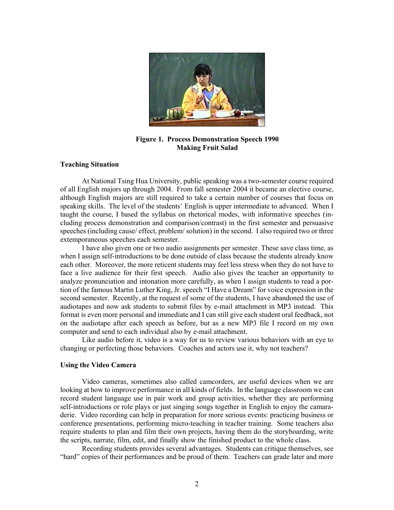

**Figure 1. Process Demonstration Speech 1990 Making Fruit Salad** 

# **Teaching Situation**

At National Tsing Hua University, public speaking was a two-semester course required of all English majors up through 2004. From fall semester 2004 it became an elective course, although English majors are still required to take a certain number of courses that focus on speaking skills. The level of the students' English is upper intermediate to advanced. When I taught the course, I based the syllabus on rhetorical modes, with informative speeches (including process demonstration and comparison/contrast) in the first semester and persuasive speeches (including cause/ effect, problem/ solution) in the second. I also required two or three extemporaneous speeches each semester.

 I have also given one or two audio assignments per semester. These save class time, as when I assign self-introductions to be done outside of class because the students already know each other. Moreover, the more reticent students may feel less stress when they do not have to face a live audience for their first speech. Audio also gives the teacher an opportunity to analyze pronunciation and intonation more carefully, as when I assign students to read a portion of the famous Martin Luther King, Jr. speech "I Have a Dream" for voice expression in the second semester. Recently, at the request of some of the students, I have abandoned the use of audiotapes and now ask students to submit files by e-mail attachment in MP3 instead. This format is even more personal and immediate and I can still give each student oral feedback, not on the audiotape after each speech as before, but as a new MP3 file I record on my own computer and send to each individual also by e-mail attachment.

 Like audio before it, video is a way for us to review various behaviors with an eye to changing or perfecting those behaviors. Coaches and actors use it, why not teachers?

#### **Using the Video Camera**

Video cameras, sometimes also called camcorders, are useful devices when we are looking at how to improve performance in all kinds of fields. In the language classroom we can record student language use in pair work and group activities, whether they are performing self-introductions or role plays or just singing songs together in English to enjoy the camaraderie. Video recording can help in preparation for more serious events: practicing business or conference presentations, performing micro-teaching in teacher training. Some teachers also require students to plan and film their own projects, having them do the storyboarding, write the scripts, narrate, film, edit, and finally show the finished product to the whole class.

Recording students provides several advantages. Students can critique themselves, see "hard" copies of their performances and be proud of them. Teachers can grade later and more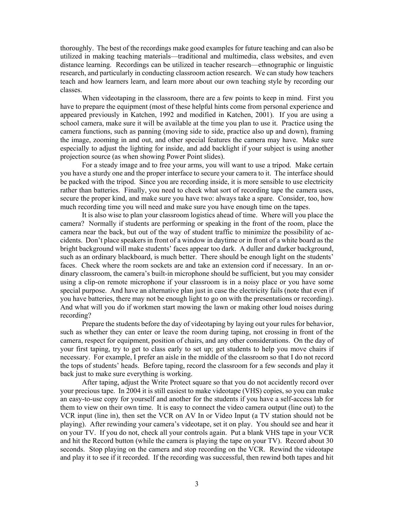thoroughly. The best of the recordings make good examples for future teaching and can also be utilized in making teaching materials—traditional and multimedia, class websites, and even distance learning. Recordings can be utilized in teacher research—ethnographic or linguistic research, and particularly in conducting classroom action research. We can study how teachers teach and how learners learn, and learn more about our own teaching style by recording our classes.

When videotaping in the classroom, there are a few points to keep in mind. First you have to prepare the equipment (most of these helpful hints come from personal experience and appeared previously in Katchen, 1992 and modified in Katchen, 2001). If you are using a school camera, make sure it will be available at the time you plan to use it. Practice using the camera functions, such as panning (moving side to side, practice also up and down), framing the image, zooming in and out, and other special features the camera may have. Make sure especially to adjust the lighting for inside, and add backlight if your subject is using another projection source (as when showing Power Point slides).

For a steady image and to free your arms, you will want to use a tripod. Make certain you have a sturdy one and the proper interface to secure your camera to it. The interface should be packed with the tripod. Since you are recording inside, it is more sensible to use electricity rather than batteries. Finally, you need to check what sort of recording tape the camera uses, secure the proper kind, and make sure you have two: always take a spare. Consider, too, how much recording time you will need and make sure you have enough time on the tapes.

It is also wise to plan your classroom logistics ahead of time. Where will you place the camera? Normally if students are performing or speaking in the front of the room, place the camera near the back, but out of the way of student traffic to minimize the possibility of accidents. Don't place speakers in front of a window in daytime or in front of a white board as the bright background will make students' faces appear too dark. A duller and darker background, such as an ordinary blackboard, is much better. There should be enough light on the students' faces. Check where the room sockets are and take an extension cord if necessary. In an ordinary classroom, the camera's built-in microphone should be sufficient, but you may consider using a clip-on remote microphone if your classroom is in a noisy place or you have some special purpose. And have an alternative plan just in case the electricity fails (note that even if you have batteries, there may not be enough light to go on with the presentations or recording). And what will you do if workmen start mowing the lawn or making other loud noises during recording?

 Prepare the students before the day of videotaping by laying out your rules for behavior, such as whether they can enter or leave the room during taping, not crossing in front of the camera, respect for equipment, position of chairs, and any other considerations. On the day of your first taping, try to get to class early to set up; get students to help you move chairs if necessary. For example, I prefer an aisle in the middle of the classroom so that I do not record the tops of students' heads. Before taping, record the classroom for a few seconds and play it back just to make sure everything is working.

 After taping, adjust the Write Protect square so that you do not accidently record over your precious tape. In 2004 it is still easiest to make videotape (VHS) copies, so you can make an easy-to-use copy for yourself and another for the students if you have a self-access lab for them to view on their own time. It is easy to connect the video camera output (line out) to the VCR input (line in), then set the VCR on AV In or Video Input (a TV station should not be playing). After rewinding your camera's videotape, set it on play. You should see and hear it on your TV. If you do not, check all your controls again. Put a blank VHS tape in your VCR and hit the Record button (while the camera is playing the tape on your TV). Record about 30 seconds. Stop playing on the camera and stop recording on the VCR. Rewind the videotape and play it to see if it recorded. If the recording was successful, then rewind both tapes and hit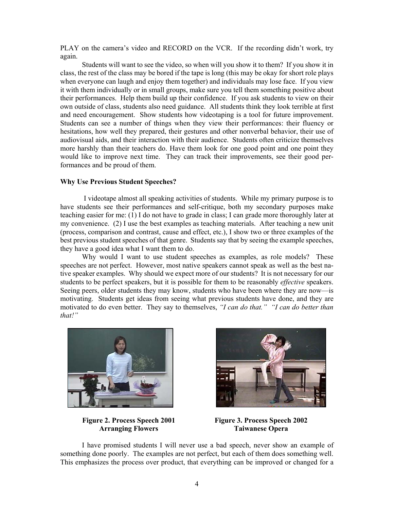PLAY on the camera's video and RECORD on the VCR. If the recording didn't work, try again.

Students will want to see the video, so when will you show it to them? If you show it in class, the rest of the class may be bored if the tape is long (this may be okay for short role plays when everyone can laugh and enjoy them together) and individuals may lose face. If you view it with them individually or in small groups, make sure you tell them something positive about their performances. Help them build up their confidence. If you ask students to view on their own outside of class, students also need guidance. All students think they look terrible at first and need encouragement. Show students how videotaping is a tool for future improvement. Students can see a number of things when they view their performances: their fluency or hesitations, how well they prepared, their gestures and other nonverbal behavior, their use of audiovisual aids, and their interaction with their audience. Students often criticize themselves more harshly than their teachers do. Have them look for one good point and one point they would like to improve next time. They can track their improvements, see their good performances and be proud of them.

## **Why Use Previous Student Speeches?**

 I videotape almost all speaking activities of students. While my primary purpose is to have students see their performances and self-critique, both my secondary purposes make teaching easier for me: (1) I do not have to grade in class; I can grade more thoroughly later at my convenience. (2) I use the best examples as teaching materials. After teaching a new unit (process, comparison and contrast, cause and effect, etc.), I show two or three examples of the best previous student speeches of that genre. Students say that by seeing the example speeches, they have a good idea what I want them to do.

Why would I want to use student speeches as examples, as role models? These speeches are not perfect. However, most native speakers cannot speak as well as the best native speaker examples. Why should we expect more of our students? It is not necessary for our students to be perfect speakers, but it is possible for them to be reasonably *effective* speakers. Seeing peers, older students they may know, students who have been where they are now—is motivating. Students get ideas from seeing what previous students have done, and they are motivated to do even better. They say to themselves, *"I can do that." "I can do better than that!"* 



**Figure 2. Process Speech 2001 Arranging Flowers** 



**Figure 3. Process Speech 2002 Taiwanese Opera** 

I have promised students I will never use a bad speech, never show an example of something done poorly. The examples are not perfect, but each of them does something well. This emphasizes the process over product, that everything can be improved or changed for a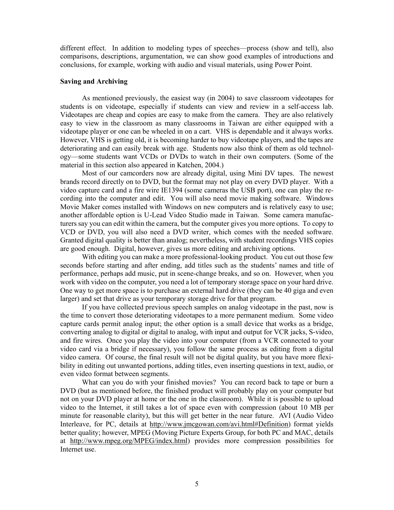different effect. In addition to modeling types of speeches—process (show and tell), also comparisons, descriptions, argumentation, we can show good examples of introductions and conclusions, for example, working with audio and visual materials, using Power Point.

## **Saving and Archiving**

As mentioned previously, the easiest way (in 2004) to save classroom videotapes for students is on videotape, especially if students can view and review in a self-access lab. Videotapes are cheap and copies are easy to make from the camera. They are also relatively easy to view in the classroom as many classrooms in Taiwan are either equipped with a videotape player or one can be wheeled in on a cart. VHS is dependable and it always works. However, VHS is getting old, it is becoming harder to buy videotape players, and the tapes are deteriorating and can easily break with age. Students now also think of them as old technology—some students want VCDs or DVDs to watch in their own computers. (Some of the material in this section also appeared in Katchen, 2004.)

Most of our camcorders now are already digital, using Mini DV tapes. The newest brands record directly on to DVD, but the format may not play on every DVD player. With a video capture card and a fire wire IE1394 (some cameras the USB port), one can play the recording into the computer and edit. You will also need movie making software. Windows Movie Maker comes installed with Windows on new computers and is relatively easy to use; another affordable option is U-Lead Video Studio made in Taiwan. Some camera manufacturers say you can edit within the camera, but the computer gives you more options. To copy to VCD or DVD, you will also need a DVD writer, which comes with the needed software. Granted digital quality is better than analog; nevertheless, with student recordings VHS copies are good enough. Digital, however, gives us more editing and archiving options.

With editing you can make a more professional-looking product. You cut out those few seconds before starting and after ending, add titles such as the students' names and title of performance, perhaps add music, put in scene-change breaks, and so on. However, when you work with video on the computer, you need a lot of temporary storage space on your hard drive. One way to get more space is to purchase an external hard drive (they can be 40 giga and even larger) and set that drive as your temporary storage drive for that program.

 If you have collected previous speech samples on analog videotape in the past, now is the time to convert those deteriorating videotapes to a more permanent medium. Some video capture cards permit analog input; the other option is a small device that works as a bridge, converting analog to digital or digital to analog, with input and output for VCR jacks, S-video, and fire wires. Once you play the video into your computer (from a VCR connected to your video card via a bridge if necessary), you follow the same process as editing from a digital video camera. Of course, the final result will not be digital quality, but you have more flexibility in editing out unwanted portions, adding titles, even inserting questions in text, audio, or even video format between segments.

What can you do with your finished movies? You can record back to tape or burn a DVD (but as mentioned before, the finished product will probably play on your computer but not on your DVD player at home or the one in the classroom). While it is possible to upload video to the Internet, it still takes a lot of space even with compression (about 10 MB per minute for reasonable clarity), but this will get better in the near future. AVI (Audio Video Interleave, for PC, details at http://www.jmcgowan.com/avi.html#Definition) format yields better quality; however, MPEG (Moving Picture Experts Group, for both PC and MAC, details at http://www.mpeg.org/MPEG/index.html) provides more compression possibilities for Internet use.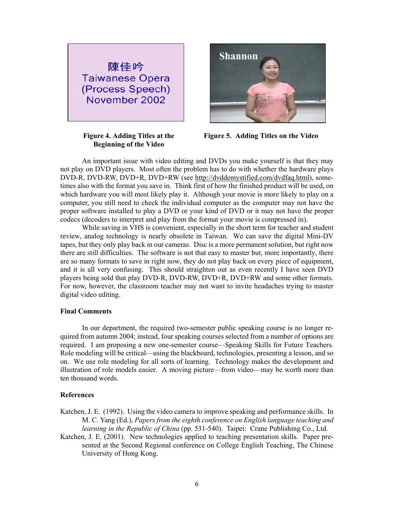

**Figure 4. Adding Titles at the Beginning of the Video** 



**Figure 5. Adding Titles on the Video** 

 An important issue with video editing and DVDs you make yourself is that they may not play on DVD players. Most often the problem has to do with whether the hardware plays DVD-R, DVD-RW, DVD+R, DVD+RW (see http://dvddemystified.com/dvdfaq.html), sometimes also with the format you save in. Think first of how the finished product will be used, on which hardware you will most likely play it. Although your movie is more likely to play on a computer, you still need to check the individual computer as the computer may not have the proper software installed to play a DVD or your kind of DVD or it may not have the proper codecs (decoders to interpret and play from the format your movie is compressed in).

 While saving in VHS is convenient, especially in the short term for teacher and student review, analog technology is nearly obsolete in Taiwan. We can save the digital Mini-DV tapes, but they only play back in our cameras. Disc is a more permanent solution, but right now there are still difficulties. The software is not that easy to master but, more importantly, there are so many formats to save in right now, they do not play back on every piece of equipment, and it is all very confusing. This should straighten out as even recently I have seen DVD players being sold that play DVD-R, DVD-RW, DVD+R, DVD+RW and some other formats. For now, however, the classroom teacher may not want to invite headaches trying to master digital video editing.

## **Final Comments**

In our department, the required two-semester public speaking course is no longer required from autumn 2004; instead, four speaking courses selected from a number of options are required. I am proposing a new one-semester course—Speaking Skills for Future Teachers. Role modeling will be critical—using the blackboard, technologies, presenting a lesson, and so on. We use role modeling for all sorts of learning. Technology makes the development and illustration of role models easier. A moving picture—from video—may be worth more than ten thousand words.

## **References**

Katchen, J. E. (1992). Using the video camera to improve speaking and performance skills. In M. C. Yang (Ed.), *Papers from the eighth conference on English language teaching and learning in the Republic of China* (pp. 531-540). Taipei: Crane Publishing Co., Ltd.

Katchen, J. E. (2001). New technologies applied to teaching presentation skills. Paper presented at the Second Regional conference on College English Teaching, The Chinese University of Hong Kong.